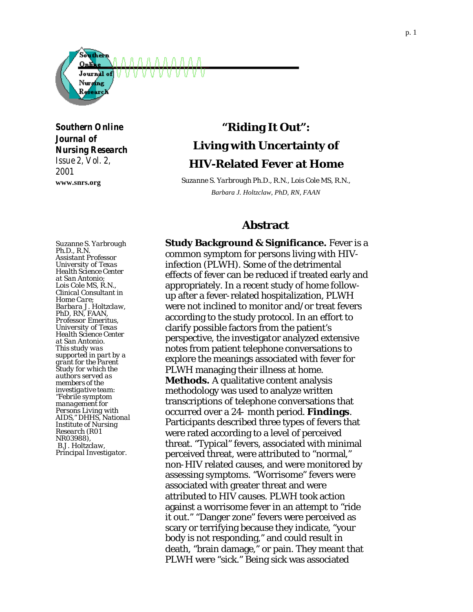

*Southern Online Journal of Nursing Research Issue 2, Vol. 2, 2001*

**www.snrs.org**

# **"Riding It Out": Living with Uncertainty of HIV-Related Fever at Home**

*Suzanne S. Yarbrough Ph.D., R.N., Lois Cole MS, R.N., Barbara J. Holtzclaw, PhD, RN, FAAN*

## **Abstract**

*Suzanne S. Yarbrough Ph.D., R.N. Assistant Professor University of Texas Health Science Center at San Antonio; Lois Cole MS, R.N., Clinical Consultant in Home Care; Barbara J. Holtzclaw, PhD, RN, FAAN, Professor Emeritus, University of Texas Health Science Center at San Antonio. This study was supported in part by a grant for the Parent Study for which the authors served as members of the investigative team: "Febrile symptom management for Persons Living with AIDS," DHHS, National Institute of Nursing Research (R01 NR03988), B.J. Holtzclaw, Principal Investigator.*

**Study Background & Significance.** Fever is a common symptom for persons living with HIVinfection (PLWH). Some of the detrimental effects of fever can be reduced if treated early and appropriately. In a recent study of home followup after a fever-related hospitalization, PLWH were not inclined to monitor and/or treat fevers according to the study protocol. In an effort to clarify possible factors from the patient's perspective, the investigator analyzed extensive notes from patient telephone conversations to explore the meanings associated with fever for PLWH managing their illness at home. **Methods.** A qualitative content analysis methodology was used to analyze written transcriptions of telephone conversations that occurred over a 24- month period. **Findings**. Participants described three types of fevers that were rated according to a level of perceived threat. "Typical" fevers, associated with minimal perceived threat, were attributed to "normal," non-HIV related causes, and were monitored by assessing symptoms. "Worrisome" fevers were associated with greater threat and were attributed to HIV causes. PLWH took action against a worrisome fever in an attempt to "ride it out." "Danger zone" fevers were perceived as scary or terrifying because they indicate, "your body is not responding," and could result in death, "brain damage," or pain. They meant that PLWH were "sick." Being sick was associated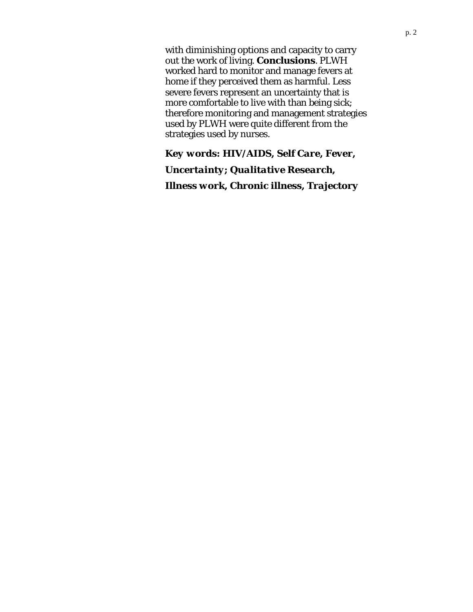with diminishing options and capacity to carry out the work of living. **Conclusions**. PLWH worked hard to monitor and manage fevers at home if they perceived them as harmful. Less severe fevers represent an uncertainty that is more comfortable to live with than being sick; therefore monitoring and management strategies used by PLWH were quite different from the strategies used by nurses.

# *Key words: HIV/AIDS, Self Care, Fever,*

*Uncertainty; Qualitative Research, Illness work, Chronic illness, Trajectory*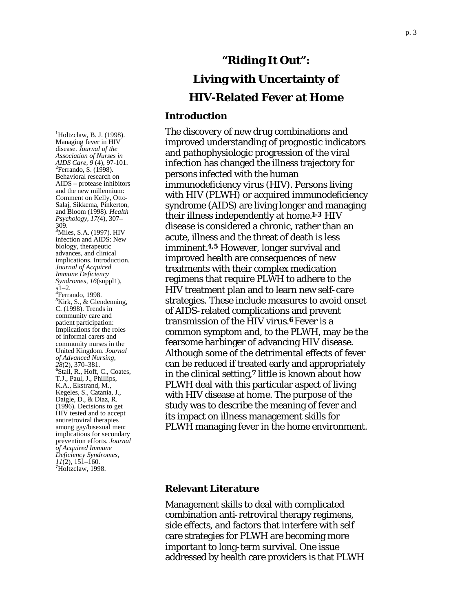**1** Holtzclaw, B. J. (1998). Managing fever in HIV disease. *Journal of the Association of Nurses in AIDS Care, 9* (4), 97 -101. **2** Ferrando, S. (1998). Behavioral research on AIDS – protease inhibitors and the new millennium: Comment on Kelly, Otto-Salaj, Sikkema, Pinkerton, and Bloom (1998). *Health Psychology, 17(*4), 307– 309. **<sup>3</sup>** Miles, S.A. (1997). HIV infection and AIDS: New biology, therapeutic advances, and clinical implications. Introduction. *Journal of Acquired Immune Deficiency Syndromes, 16*(suppl1),  $s$ 1–2. <sup>4</sup>Ferrando, 1998.<br><sup>5</sup>Kirk, S., & Glendenning, C. (1998). Trends in community care and patient participation: Implications for the roles of informal carers and community nurses in the United Kingdom. *Journal of Advanced Nursing, <sup>28</sup>*(2), 370–381. **<sup>6</sup>** Stall, R., Hoff, C., Coates, T.J., Paul, J., Phillips, K.A., Ekstrand, M., Kegeles, S., Catania, J., Daigle, D., & Diaz, R. (1996). Decisions to get HIV tested and to accept antiretroviral therapies among gay/bisexual men: implications for secondary prevention efforts. *Journal of Acquired Immune Deficiency Syndromes,* 

*<sup>11</sup>*(2), 151–160. **<sup>7</sup>** Holtzclaw, 1998.

# **"Riding It Out": Living with Uncertainty of HIV -Related Fever at Home**

## **Introduction**

The discovery of new drug combinations and improved understanding of prognostic indicators and pathophysiologic progression of the viral infection has changed the illness trajectory for persons infected with the human immunodeficiency virus (HIV). Persons living with HIV (PLWH) or acquired immunodeficiency syndrome (AIDS) are living longer and managing their illness independently at home . **1 - <sup>3</sup>** HIV disease is considered a chronic, rather than an acute, illness and the threat of death is less imminent.**4,5** However, longer survival and improved health are consequences of new treatments with their complex medication regimens that require PLWH to adhere to the HIV treatment plan and to learn new self-care strategies. These include measures to avoid onset of AIDS -related complications and prevent transmission of the HIV virus. **<sup>6</sup>** Fever is a common symptom and, to the PLWH, may be the fearsome harbinger of advancing HIV disease. Although some of the detrimental effects of fever can be reduced if treated early and appropriately in the clinical setting, **<sup>7</sup>** little is known about how PLWH deal with this particular aspect of living with HIV disease at home. The purpose of the study was to describe the meaning of fever and its impact on illness management skills for PLWH managing fever in the home environment.

## **Relevant Literature**

Management skills to deal with complicated combination anti-retroviral therapy regimens, side effects, and factors that interfere with self care strategies for PLWH are becoming more important to long-term survival. One issue addressed by health care providers is that PLWH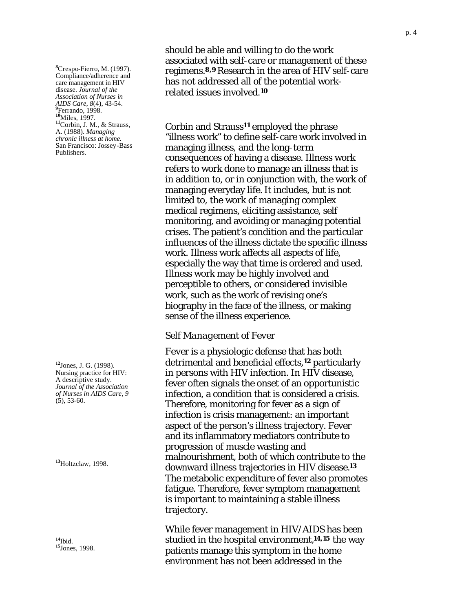**8** Crespo-Fierro, M. (1997). Compliance/adherence and care management in HIV disease. *Journal of the Association of Nurses in AIDS Care, 8*(4), 43-54. **<sup>9</sup>** Ferrando, 1998. **<sup>10</sup>**Miles, 1997. **<sup>11</sup>**Corbin, J. M., & Strauss, A. (1988). *Managing chronic illness at home.* San Francisco: Jossey-Bass Publishers.

**<sup>12</sup>**Jones, J. G. (1998). Nursing practice for HIV: A descriptive study. *Journal of the Association of Nurses in AIDS Care, 9*  $(5)$ , 53-60.

**<sup>13</sup>**Holtzclaw, 1998.

**<sup>14</sup>**Ibid. **<sup>15</sup>**Jones, 1998.

should be able and willing to do the work associated with self-care or management of these regimens.**8,9** Research in the area of HIV self-care has not addressed all of the potential workrelated issues involved.**<sup>10</sup>**

Corbin and Strauss**11** employed the phrase "illness work" to define self-care work involved in managing illness, and the long-term consequences of having a disease. Illness work refers to work done to manage an illness that is in addition to, or in conjunction with, the work of managing everyday life. It includes, but is not limited to, the work of managing complex medical regimens, eliciting assistance, self monitoring, and avoiding or managing potential crises. The patient's condition and the particular influences of the illness dictate the specific illness work. Illness work affects all aspects of life, especially the way that time is ordered and used. Illness work may be highly involved and perceptible to others, or considered invisible work, such as the work of revising one's biography in the face of the illness, or making sense of the illness experience.

#### *Self Management of Fever*

Fever is a physiologic defense that has both detrimental and beneficial effects,**<sup>12</sup>** particularly in persons with HIV infection. In HIV disease, fever often signals the onset of an opportunistic infection, a condition that is considered a crisis. Therefore, monitoring for fever as a sign of infection is crisis management: an important aspect of the person's illness trajectory. Fever and its inflammatory mediators contribute to progression of muscle wasting and malnourishment, both of which contribute to the downward illness trajectories in HIV disease.**<sup>13</sup>** The metabolic expenditure of fever also promotes fatigue. Therefore, fever symptom management is important to maintaining a stable illness trajectory.

While fever management in HIV/AIDS has been studied in the hospital environment,**14,15** the way patients manage this symptom in the home environment has not been addressed in the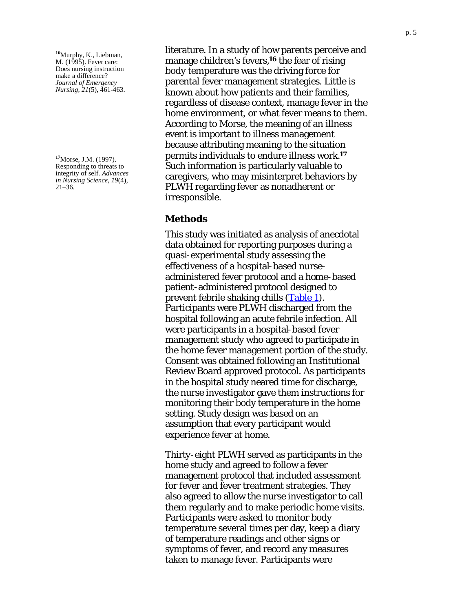<span id="page-4-0"></span>**<sup>16</sup>**Murphy, K., Liebman, M. (1995). Fever care: Does nursing instruction make a difference? *Journal of Emergency Nursing, 21*(5), 461 -463.

**<sup>17</sup>**Morse, J.M. (1997). Responding to threats to integrity of self. *Advances in Nursing Science, 19*(4), 21 –36.

literature. In a study of how parents perceive and manage children's fevers,**16** the fear of rising body temperature was the driving force for parental fever management strategies. Little is known about how patients and their families, regardless of disease context, manage fever in the home environment, or what fever means to them. According to Morse, the meaning of an illness event is important to illness management because attributing meaning to the situation permits individuals to endure illness work.**<sup>17</sup>** Such information is particularly valuable to caregivers, who may misinterpret behaviors by PLWH regarding fever as nonadherent or irresponsible.

### **Methods**

This study was initiated as analysis of anecdotal data obtained for reporting purposes during a quasi-experimental study assessing the effectiveness of a hospital-based nurse administered fever protocol and a home -based patient -administered protocol designed to prevent febrile shaking chills [\(Table 1\)](#page-21-0). Participants were PLWH discharged from the hospital following an acute febrile infection. All were participants in a hospital-based fever management study who agreed to participate in the home fever management portion of the study. Consent was obtained following an Institutional Review Board approved protocol. As participants in the hospital study neared time for discharge, the nurse investigator gave them instructions for monitoring their body temperature in the home setting. Study design was based on an assumption that every participant would experience fever at home.

Thirty -eight PLWH served as participants in the home study and agreed to follow a fever management protocol that included assessment for fever and fever treatment strategies. They also agreed to allow the nurse investigator to call them regularly and to make periodic home visits. Participants were asked to monitor body temperature several times per day, keep a diary of temperature readings and other signs or symptoms of fever, and record any measures taken to manage fever. Participants were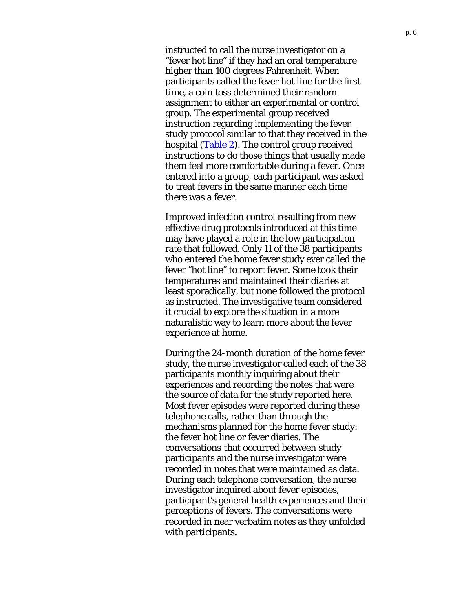<span id="page-5-0"></span>instructed to call the nurse investigator on a "fever hot line" if they had an oral temperature higher than 100 degrees Fahrenheit. When participants called the fever hot line for the first time, a coin toss determined their random assignment to either an experimental or control group. The experimental group received instruction regarding implementing the fever study protocol similar to that they received in the hospital  $(Table 2)$ . The control group received instructions to do those things that usually made them feel more comfortable during a fever. Once entered into a group, each participant was asked to treat fevers in the same manner each time there was a fever.

Improved infection control resulting from new effective drug protocols introduced at this time may have played a role in the low participation rate that followed. Only 11 of the 38 participants who entered the home fever study ever called the fever "hot line" to report fever. Some took their temperatures and maintained their diaries at least sporadically, but none followed the protocol as instructed. The investigative team considered it crucial to explore the situation in a more naturalistic way to learn more about the fever experience at home.

During the 24-month duration of the home fever study, the nurse investigator called each of the 38 participants monthly inquiring about their experiences and recording the notes that were the source of data for the study reported here. Most fever episodes were reported during these telephone calls, rather than through the mechanisms planned for the home fever study: the fever hot line or fever diaries. The conversations that occurred between study participants and the nurse investigator were recorded in notes that were maintained as data. During each telephone conversation, the nurse investigator inquired about fever episodes, participant's general health experiences and their perceptions of fevers. The conversations were recorded in near verbatim notes as they unfolded with participants.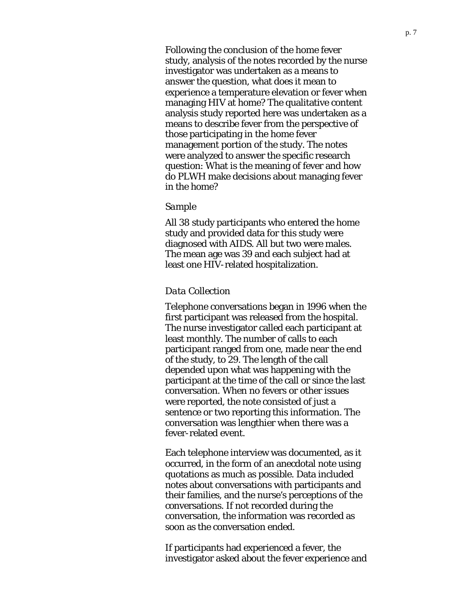Following the conclusion of the home fever study, analysis of the notes recorded by the nurse investigator was undertaken as a means to answer the question, what does it mean to experience a temperature elevation or fever when managing HIV at home? The qualitative content analysis study reported here was undertaken as a means to describe fever from the perspective of those participating in the home fever management portion of the study. The notes were analyzed to answer the specific research question: What is the meaning of fever and how do PLWH make decisions about managing fever in the home?

#### *Sample*

All 38 study participants who entered the home study and provided data for this study were diagnosed with AIDS. All but two were males. The mean age was 39 and each subject had at least one HIV-related hospitalization.

#### *Data Collection*

Telephone conversations began in 1996 when the first participant was released from the hospital. The nurse investigator called each participant at least monthly. The number of calls to each participant ranged from one, made near the end of the study, to 29. The length of the call depended upon what was happening with the participant at the time of the call or since the last conversation. When no fevers or other issues were reported, the note consisted of just a sentence or two reporting this information. The conversation was lengthier when there was a fever-related event.

Each telephone interview was documented, as it occurred, in the form of an anecdotal note using quotations as much as possible. Data included notes about conversations with participants and their families, and the nurse's perceptions of the conversations. If not recorded during the conversation, the information was recorded as soon as the conversation ended.

If participants had experienced a fever, the investigator asked about the fever experience and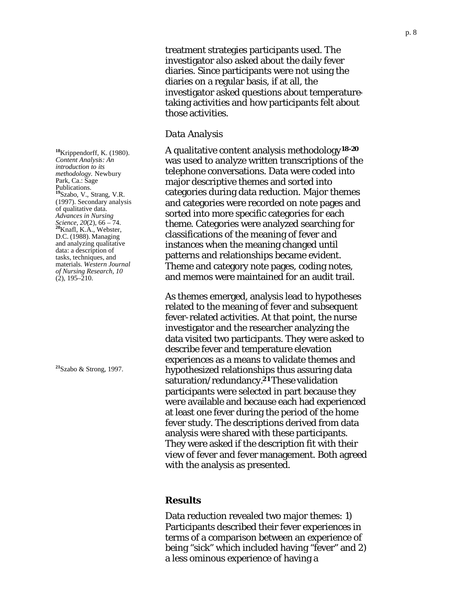treatment strategies participants used. The investigator also asked about the daily fever diaries. Since participants were not using the diaries on a regular basis, if at all, the investigator asked questions about temperaturetaking activities and how participants felt about those activities.

#### *Data Analysis*

A qualitative content analysis methodology**18-20** was used to analyze written transcriptions of the telephone conversations. Data were coded into major descriptive themes and sorted into categories during data reduction. Major themes and categories were recorded on note pages and sorted into more specific categories for each theme. Categories were analyzed searching for classifications of the meaning of fever and instances when the meaning changed until patterns and relationships became evident. Theme and category note pages, coding notes, and memos were maintained for an audit trail.

As themes emerged, analysis lead to hypotheses related to the meaning of fever and subsequent fever-related activities. At that point, the nurse investigator and the researcher analyzing the data visited two participants. They were asked to describe fever and temperature elevation experiences as a means to validate themes and hypothesized relationships thus assuring data saturation/redundancy.**21**These validation participants were selected in part because they were available and because each had experienced at least one fever during the period of the home fever study. The descriptions derived from data analysis were shared with these participants. They were asked if the description fit with their view of fever and fever management. Both agreed with the analysis as presented.

#### **Results**

Data reduction revealed two major themes: 1) Participants described their fever experiences in terms of a comparison between an experience of being "sick" which included having "fever" and 2) a less ominous experience of having a

**<sup>18</sup>**Krippendorff, K. (1980). *Content Analysis: An introduction to its methodology.* Newbury Park, Ca.: Sage Publications. **<sup>19</sup>**Szabo, V., Strang, V.R. (1997). Secondary analysis of qualitative data. *Advances in Nursing Science, 20*(2), 66 – 74. **<sup>20</sup>**Knafl, K.A., Webster, D.C. (1988). Managing and analyzing qualitative data: a description of tasks, techniques, and materials. *Western Journal of Nursing Research, 10*  $(2)$ , 195–210.

**<sup>21</sup>**Szabo & Strong, 1997.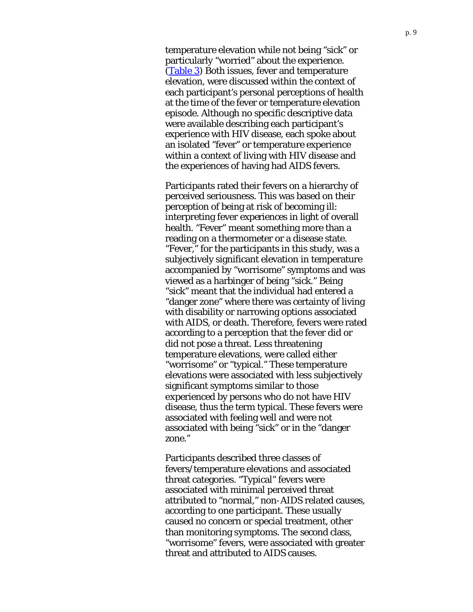<span id="page-8-0"></span>temperature elevation while not being "sick" or particularly "worried" about the experience. [\(Table 3\)](#page-22-0) Both issues, fever and temperature elevation, were discussed within the context of each participant's personal perceptions of health at the time of the fever or temperature elevation episode. Although no specific descriptive data were available describing each participant's experience with HIV disease, each spoke about an isolated "fever" or temperature experience within a context of living with HIV disease and the experiences of having had AIDS fevers.

Participants rated their fevers on a hierarchy of perceived seriousness. This was based on their perception of being at risk of becoming ill: interpreting fever experiences in light of overall health. "Fever" meant something more than a reading on a thermometer or a disease state. "Fever," for the participants in this study, was a subjectively significant elevation in temperature accompanied by "worrisome" symptoms and was viewed as a harbinger of being "sick." Being "sick" meant that the individual had entered a "danger zone" where there was certainty of living with disability or narrowing options associated with AIDS, or death. Therefore, fevers were rated according to a perception that the fever did or did not pose a threat. Less threatening temperature elevations, were called either "worrisome" or "typical." These temperature elevations were associated with less subjectively significant symptoms similar to those experienced by persons who do not have HIV disease, thus the term typical. These fevers were associated with feeling well and were not associated with being "sick" or in the "danger zone."

Participants described three classes of fevers/temperature elevations and associated threat categories. "Typical" fevers were associated with minimal perceived threat attributed to "normal," non-AIDS related causes, according to one participant. These usually caused no concern or special treatment, other than monitoring symptoms. The second class, "worrisome" fevers, were associated with greater threat and attributed to AIDS causes.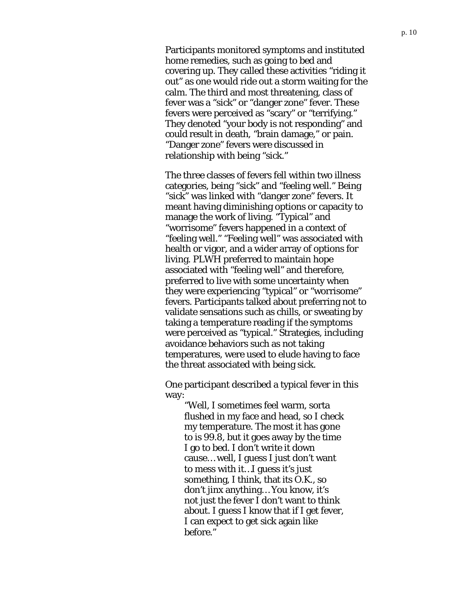Participants monitored symptoms and instituted home remedies, such as going to bed and covering up. They called these activities "riding it out" as one would ride out a storm waiting for the calm. The third and most threatening, class of fever was a "sick" or "danger zone" fever. These fevers were perceived as "scary" or "terrifying." They denoted "your body is not responding" and could result in death, "brain damage," or pain. "Danger zone" fevers were discussed in relationship with being "sick."

The three classes of fevers fell within two illness categories, being "sick" and "feeling well." Being "sick" was linked with "danger zone" fevers. It meant having diminishing options or capacity to manage the work of living. "Typical" and "worrisome" fevers happened in a context of "feeling well." "Feeling well" was associated with health or vigor, and a wider array of options for living. PLWH preferred to maintain hope associated with "feeling well" and therefore, preferred to live with some uncertainty when they were experiencing "typical" or "worrisome" fevers. Participants talked about preferring not to validate sensations such as chills, or sweating by taking a temperature reading if the symptoms were perceived as "typical." Strategies, including avoidance behaviors such as not taking temperatures, were used to elude having to face the threat associated with being sick.

One participant described a typical fever in this way:

> "Well, I sometimes feel warm, sorta flushed in my face and head, so I check my temperature. The most it has gone to is 99.8, but it goes away by the time I go to bed. I don't write it down cause… well, I guess I just don't want to mess with it…I guess it's just something, I think, that its O.K., so don't jinx anything… You know, it's not just the fever I don't want to think about. I guess I know that if I get fever, I can expect to get sick again like before."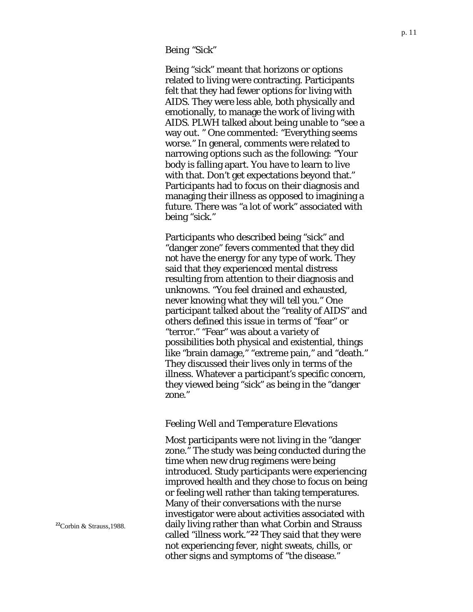#### *Being "Sick"*

Being "sick" meant that horizons or options related to living were contracting. Participants felt that they had fewer options for living with AIDS. They were less able, both physically and emotionally, to manage the work of living with AIDS. PLWH talked about being unable to "see a way out. " One commented: "Everything seems worse." In general, comments were related to narrowing options such as the following: "Your body is falling apart. You have to learn to live with that. Don't get expectations beyond that." Participants had to focus on their diagnosis and managing their illness as opposed to imagining a future. There was "a lot of work" associated with being "sick."

Participants who described being "sick" and "danger zone" fevers commented that they did not have the energy for any type of work. They said that they experienced mental distress resulting from attention to their diagnosis and unknowns. "You feel drained and exhausted, never knowing what they will tell you." One participant talked about the "reality of AIDS" and others defined this issue in terms of "fear" or "terror." "Fear" was about a variety of possibilities both physical and existential, things like "brain damage," "extreme pain," and "death." They discussed their lives only in terms of the illness. Whatever a participant's specific concern, they viewed being "sick" as being in the "danger zone."

#### *Feeling Well and Temperature Elevations*

Most participants were not living in the "danger zone." The study was being conducted during the time when new drug regimens were being introduced. Study participants were experiencing improved health and they chose to focus on being or feeling well rather than taking temperatures. Many of their conversations with the nurse investigator were about activities associated with daily living rather than what Corbin and Strauss called "illness work."**22** They said that they were not experiencing fever, night sweats, chills, or other signs and symptoms of "the disease."

**<sup>22</sup>**Corbin & Strauss,1988.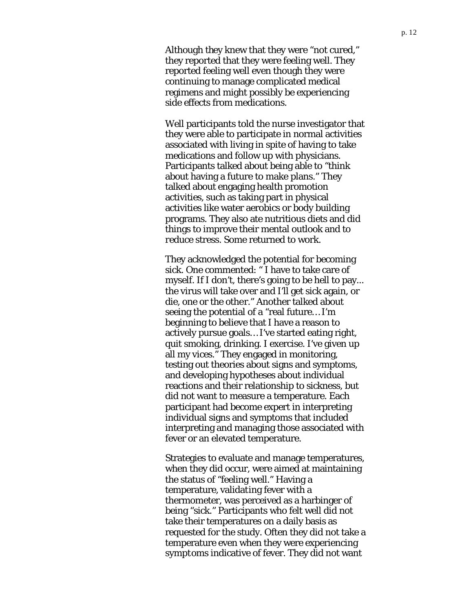Although they knew that they were "not cured," they reported that they were feeling well. They reported feeling well even though they were continuing to manage complicated medical regimens and might possibly be experiencing side effects from medications.

Well participants told the nurse investigator that they were able to participate in normal activities associated with living in spite of having to take medications and follow up with physicians. Participants talked about being able to "think about having a future to make plans." They talked about engaging health promotion activities, such as taking part in physical activities like water aerobics or body building programs. They also ate nutritious diets and did things to improve their mental outlook and to reduce stress. Some returned to work.

They acknowledged the potential for becoming sick. One commented: " I have to take care of myself. If I don't, there's going to be hell to pay... the virus will take over and I'll get sick again, or die, one or the other." Another talked about seeing the potential of a "real future… I'm beginning to believe that I have a reason to actively pursue goals… I've started eating right, quit smoking, drinking. I exercise. I've given up all my vices." They engaged in monitoring, testing out theories about signs and symptoms, and developing hypotheses about individual reactions and their relationship to sickness, but did not want to measure a temperature. Each participant had become expert in interpreting individual signs and symptoms that included interpreting and managing those associated with fever or an elevated temperature.

Strategies to evaluate and manage temperatures, when they did occur, were aimed at maintaining the status of "feeling well." Having a temperature, validating fever with a thermometer, was perceived as a harbinger of being "sick." Participants who felt well did not take their temperatures on a daily basis as requested for the study. Often they did not take a temperature even when they were experiencing symptoms indicative of fever. They did not want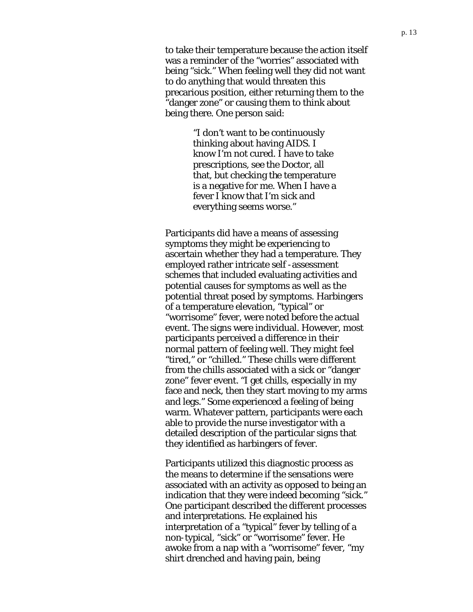to take their temperature because the action itself was a reminder of the "worries" associated with being "sick." When feeling well they did not want to do anything that would threaten this precarious position, either returning them to the "danger zone" or causing them to think about being there. One person said:

> "I don't want to be continuously thinking about having AIDS. I know I'm not cured. I have to take prescriptions, see the Doctor, all that, but checking the temperature is a negative for me. When I have a fever I know that I'm sick and everything seems worse."

Participants did have a means of assessing symptoms they might be experiencing to ascertain whether they had a temperature. They employed rather intricate self -assessment schemes that included evaluating activities and potential causes for symptoms as well as the potential threat posed by symptoms. Harbingers of a temperature elevation, "typical" or "worrisome" fever, were noted before the actual event. The signs were individual. However, most participants perceived a difference in their normal pattern of feeling well. They might feel "tired," or "chilled." These chills were different from the chills associated with a sick or "danger zone" fever event. "I get chills, especially in my face and neck, then they start moving to my arms and legs." Some experienced a feeling of being warm. Whatever pattern, participants were each able to provide the nurse investigator with a detailed description of the particular signs that they identified as harbingers of fever.

Participants utilized this diagnostic process as the means to determine if the sensations were associated with an activity as opposed to being an indication that they were indeed becoming "sick." One participant described the different processes and interpretations. He explained his interpretation of a "typical" fever by telling of a non-typical, "sick" or "worrisome" fever. He awoke from a nap with a "worrisome" fever, "my shirt drenched and having pain, being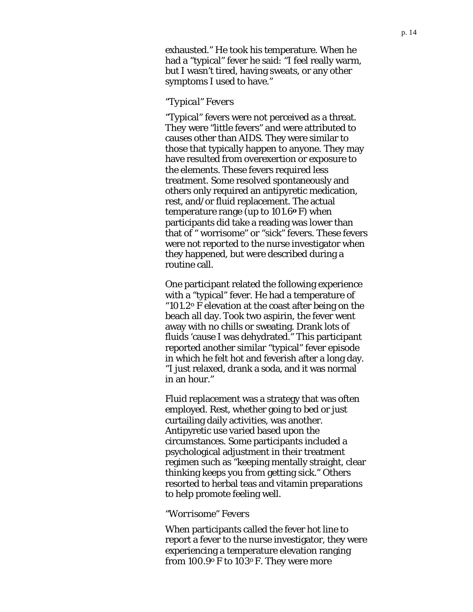exhausted." He took his temperature. When he had a "typical" fever he said: "I feel really warm, but I wasn't tired, having sweats, or any other symptoms I used to have."

#### *"Typical" Fevers*

"Typical" fevers were not perceived as a threat. They were "little fevers" and were attributed to causes other than AIDS. They were similar to those that typically happen to anyone. They may have resulted from overexertion or exposure to the elements. These fevers required less treatment. Some resolved spontaneously and others only required an antipyretic medication, rest, and/or fluid replacement. The actual temperature range (up to 101.6**o** F) when participants did take a reading was lower than that of " worrisome" or "sick" fevers. These fevers were not reported to the nurse investigator when they happened, but were described during a routine call.

One participant related the following experience with a "typical" fever. He had a temperature of "101.2 $\degree$  F elevation at the coast after being on the beach all day. Took two aspirin, the fever went away with no chills or sweating. Drank lots of fluids 'cause I was dehydrated." This participant reported another similar "typical" fever episode in which he felt hot and feverish after a long day. "I just relaxed, drank a soda, and it was normal in an hour."

Fluid replacement was a strategy that was often employed. Rest, whether going to bed or just curtailing daily activities, was another. Antipyretic use varied based upon the circumstances. Some participants included a psychological adjustment in their treatment regimen such as "keeping mentally straight, clear thinking keeps you from getting sick." Others resorted to herbal teas and vitamin preparations to help promote feeling well.

#### *"Worrisome" Fevers*

When participants called the fever hot line to report a fever to the nurse investigator, they were experiencing a temperature elevation ranging from 100.9o F to 103o F. They were more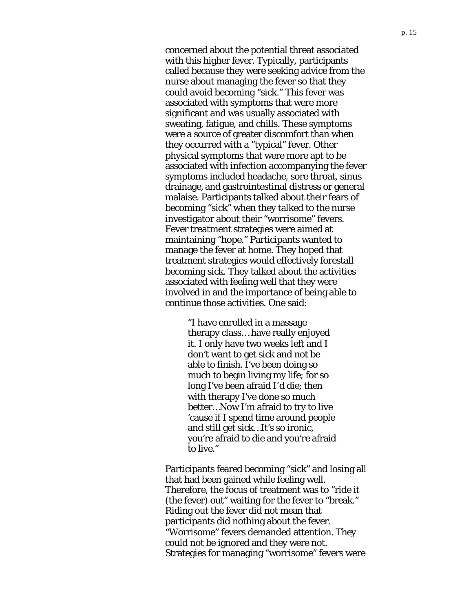concerned about the potential threat associated with this higher fever. Typically, participants called because they were seeking advice from the nurse about managing the fever so that they could avoid becoming "sick." This fever was associated with symptoms that were more significant and was usually associated with sweating, fatigue, and chills. These symptoms were a source of greater discomfort than when they occurred with a "typical" fever. Other physical symptoms that were more apt to be associated with infection accompanying the fever symptoms included headache, sore throat, sinus drainage, and gastrointestinal distress or general malaise. Participants talked about their fears of becoming "sick" when they talked to the nurse investigator about their "worrisome" fevers. Fever treatment strategies were aimed at maintaining "hope." Participants wanted to manage the fever at home. They hoped that treatment strategies would effectively forestall becoming sick. They talked about the activities associated with feeling well that they were involved in and the importance of being able to continue those activities. One said:

> "I have enrolled in a massage therapy class… have really enjoyed it. I only have two weeks left and I don't want to get sick and not be able to finish. I've been doing so much to begin living my life; for so long I've been afraid I'd die; then with therapy I've done so much better…Now I'm afraid to try to live 'cause if I spend time around people and still get sick…It's so ironic, you're afraid to die and you're afraid to live."

Participants feared becoming "sick" and losing all that had been gained while feeling well. Therefore, the focus of treatment was to "ride it (the fever) out" waiting for the fever to "break." Riding out the fever did not mean that participants did nothing about the fever. "Worrisome" fevers demanded attention. They could not be ignored and they were not. Strategies for managing "worrisome" fevers were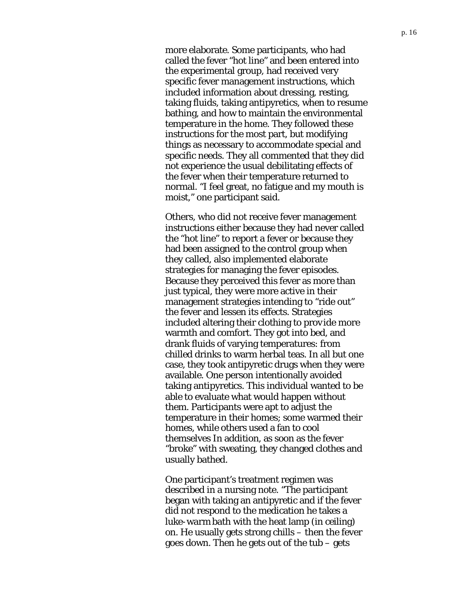more elaborate. Some participants, who had called the fever "hot line" and been entered into the experimental group, had received very specific fever management instructions, which included information about dressing, resting, taking fluids, taking antipyretics, when to resume bathing, and how to maintain the environmental temperature in the home. They followed these instructions for the most part, but modifying things as necessary to accommodate special and specific needs. They all commented that they did not experience the usual debilitating effects of the fever when their temperature returned to normal. "I feel great, no fatigue and my mouth is moist," one participant said.

Others, who did not receive fever management instructions either because they had never called the "hot line" to report a fever or because they had been assigned to the control group when they called, also implemented elaborate strategies for managing the fever episodes. Because they perceived this fever as more than just typical, they were more active in their management strategies intending to "ride out" the fever and lessen its effects. Strategies included altering their clothing to provide more warmth and comfort. They got into bed, and drank fluids of varying temperatures: from chilled drinks to warm herbal teas. In all but one case, they took antipyretic drugs when they were available. One person intentionally avoided taking antipyretics. This individual wanted to be able to evaluate what would happen without them. Participants were apt to adjust the temperature in their homes; some warmed their homes, while others used a fan to cool themselves In addition, as soon as the fever "broke" with sweating, they changed clothes and usually bathed.

One participant's treatment regimen was described in a nursing note. "The participant began with taking an antipyretic and if the fever did not respond to the medication he takes a luke-warm bath with the heat lamp (in ceiling) on. He usually gets strong chills – then the fever goes down. Then he gets out of the tub – gets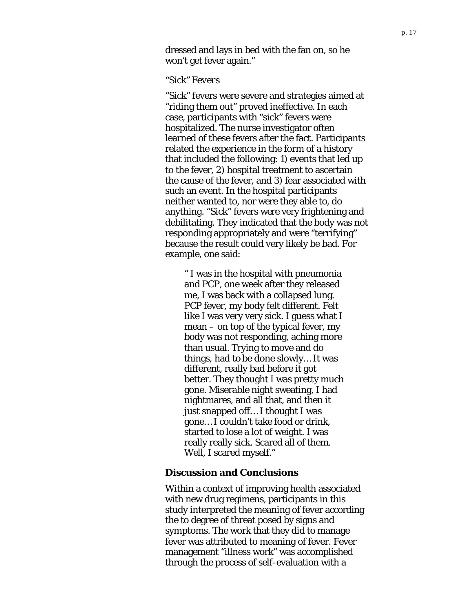dressed and lays in bed with the fan on, so he won't get fever again."

#### *"Sick" Fevers*

"Sick" fevers were severe and strategies aimed at "riding them out" proved ineffective. In each case, participants with "sick" fevers were hospitalized. The nurse investigator often learned of these fevers after the fact. Participants related the experience in the form of a history that included the following: 1) events that led up to the fever, 2) hospital treatment to ascertain the cause of the fever, and 3) fear associated with such an event. In the hospital participants neither wanted to, nor were they able to, do anything. "Sick" fevers were very frightening and debilitating. They indicated that the body was not responding appropriately and were "terrifying" because the result could very likely be bad. For example, one said:

" I was in the hospital with pneumonia and PCP, one week after they released me, I was back with a collapsed lung. PCP fever, my body felt different. Felt like I was very very sick. I guess what I mean – on top of the typical fever, my body was not responding, aching more than usual. Trying to move and do things, had to be done slowly… It was different, really bad before it got better. They thought I was pretty much gone. Miserable night sweating, I had nightmares, and all that, and then it just snapped off… I thought I was gone… I couldn't take food or drink, started to lose a lot of weight. I was really really sick. Scared all of them. Well, I scared myself."

#### **Discussion and Conclusions**

Within a context of improving health associated with new drug regimens, participants in this study interpreted the meaning of fever according the to degree of threat posed by signs and symptoms. The work that they did to manage fever was attributed to meaning of fever. Fever management "illness work" was accomplished through the process of self-evaluation with a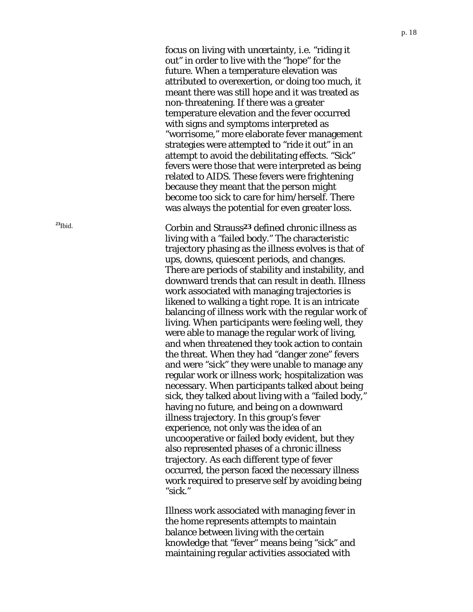focus on living with uncertainty, i.e. "riding it out" in order to live with the "hope" for the future. When a temperature elevation was attributed to overexertion, or doing too much, it meant there was still hope and it was treated as non-threatening. If there was a greater temperature elevation and the fever occurred with signs and symptoms interpreted as "worrisome," more elaborate fever management strategies were attempted to "ride it out" in an attempt to avoid the debilitating effects. "Sick" fevers were those that were interpreted as being related to AIDS. These fevers were frightening because they meant that the person might become too sick to care for him/herself. There was always the potential for even greater loss.

**<sup>23</sup>**Ibid. Corbin and Strauss**23** defined chronic illness as living with a "failed body." The characteristic trajectory phasing as the illness evolves is that of ups, downs, quiescent periods, and changes. There are periods of stability and instability, and downward trends that can result in death. Illness work associated with managing trajectories is likened to walking a tight rope. It is an intricate balancing of illness work with the regular work of living. When participants were feeling well, they were able to manage the regular work of living, and when threatened they took action to contain the threat. When they had "danger zone" fevers and were "sick" they were unable to manage any regular work or illness work; hospitalization was necessary. When participants talked about being sick, they talked about living with a "failed body," having no future, and being on a downward illness trajectory. In this group's fever experience, not only was the idea of an uncooperative or failed body evident, but they also represented phases of a chronic illness trajectory. As each different type of fever occurred, the person faced the necessary illness work required to preserve self by avoiding being "sick."

> Illness work associated with managing fever in the home represents attempts to maintain balance between living with the certain knowledge that "fever" means being "sick" and maintaining regular activities associated with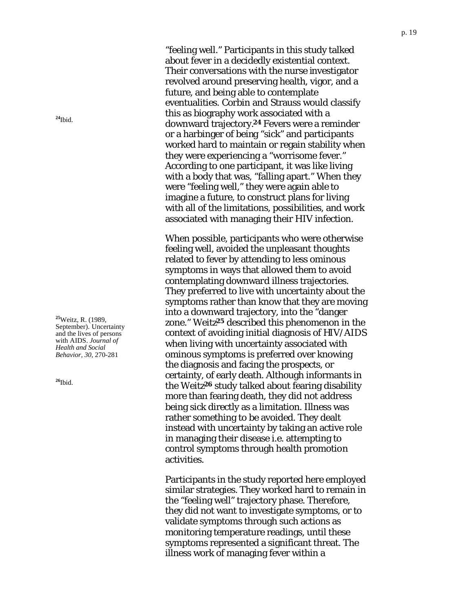"feeling well." Participants in this study talked about fever in a decidedly existential context. Their conversations with the nurse investigator revolved around preserving health, vigor, and a future, and being able to contemplate eventualities. Corbin and Strauss would classify this as biography work associated with a downward trajectory.**24** Fevers were a reminder or a harbinger of being "sick" and participants worked hard to maintain or regain stability when they were experiencing a "worrisome fever." According to one participant, it was like living with a body that was, "falling apart." When they were "feeling well," they were again able to imagine a future, to construct plans for living with all of the limitations, possibilities, and work associated with managing their HIV infection.

When possible, participants who were otherwise feeling well, avoided the unpleasant thoughts related to fever by attending to less ominous symptoms in ways that allowed them to avoid contemplating downward illness trajectories. They preferred to live with uncertainty about the symptoms rather than know that they are moving into a downward trajectory, into the "danger zone." Weitz**25** described this phenomenon in the context of avoiding initial diagnosis of HIV/AIDS when living with uncertainty associated with ominous symptoms is preferred over knowing the diagnosis and facing the prospects, or certainty, of early death. Although informants in the Weitz**26** study talked about fearing disability more than fearing death, they did not address being sick directly as a limitation. Illness was rather something to be avoided. They dealt instead with uncertainty by taking an active role in managing their disease i.e. attempting to control symptoms through health promotion activities.

Participants in the study reported here employed similar strategies. They worked hard to remain in the "feeling well" trajectory phase. Therefore, they did not want to investigate symptoms, or to validate symptoms through such actions as monitoring temperature readings, until these symptoms represented a significant threat. The illness work of managing fever within a

**<sup>24</sup>**Ibid.

**<sup>25</sup>**Weitz, R. (1989, September). Uncertainty and the lives of persons with AIDS. *Journal of Health and Social Behavior, 30*, 270 -281

**<sup>26</sup>**Ibid.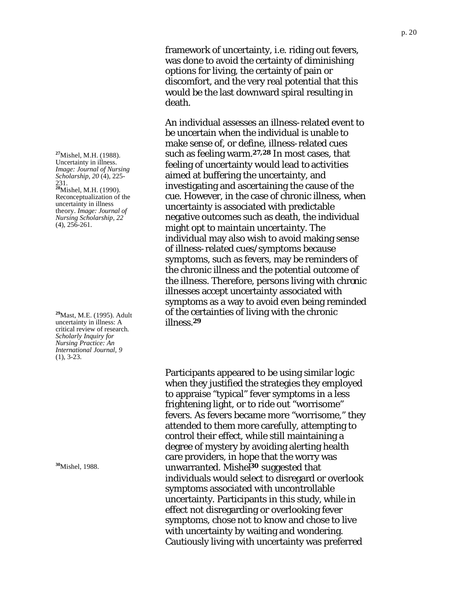**<sup>27</sup>**Mishel, M.H. (1988). Uncertainty in illness. *Image: Journal of Nursing Scholarship, 20* (4), 225- 231. **<sup>28</sup>**Mishel, M.H. (1990). Reconceptualization of the uncertainty in illness theory. *Image: Journal of Nursing Scholarship, 22*  $(4)$ ,  $256-261$ .

**<sup>29</sup>**Mast, M.E. (1995). Adult uncertainty in illness: A critical review of research*. Scholarly Inquiry for Nursing Practice: An International Journal, 9* (1), 3-23.

**<sup>30</sup>**Mishel, 1988.

framework of uncertainty, i.e. riding out fevers, was done to avoid the certainty of diminishing options for living, the certainty of pain or discomfort, and the very real potential that this would be the last downward spiral resulting in death.

An individual assesses an illness-related event to be uncertain when the individual is unable to make sense of, or define, illness-related cues such as feeling warm.**27,28** In most cases, that feeling of uncertainty would lead to activities aimed at buffering the uncertainty, and investigating and ascertaining the cause of the cue. However, in the case of chronic illness, when uncertainty is associated with predictable negative outcomes such as death, the individual might opt to maintain uncertainty. The individual may also wish to avoid making sense of illness-related cues/symptoms because symptoms, such as fevers, may be reminders of the chronic illness and the potential outcome of the illness. Therefore, persons living with chronic illnesses accept uncertainty associated with symptoms as a way to avoid even being reminded of the certainties of living with the chronic illness.**<sup>29</sup>**

Participants appeared to be using similar logic when they justified the strategies they employed to appraise "typical" fever symptoms in a less frightening light, or to ride out "worrisome" fevers. As fevers became more "worrisome," they attended to them more carefully, attempting to control their effect, while still maintaining a degree of mystery by avoiding alerting health care providers, in hope that the worry was unwarranted. Mishel**30** suggested that individuals would select to disregard or overlook symptoms associated with uncontrollable uncertainty. Participants in this study, while in effect not disregarding or overlooking fever symptoms, chose not to know and chose to live with uncertainty by waiting and wondering. Cautiously living with uncertainty was preferred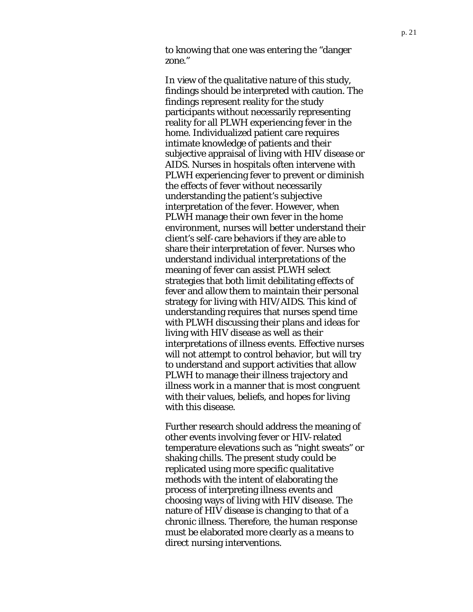to knowing that one was entering the "danger zone."

In view of the qualitative nature of this study, findings should be interpreted with caution. The findings represent reality for the study participants without necessarily representing reality for all PLWH experiencing fever in the home. Individualized patient care requires intimate knowledge of patients and their subjective appraisal of living with HIV disease or AIDS. Nurses in hospitals often intervene with PLWH experiencing fever to prevent or diminish the effects of fever without necessarily understanding the patient's subjective interpretation of the fever. However, when PLWH manage their own fever in the home environment, nurses will better understand their client's self-care behaviors if they are able to share their interpretation of fever. Nurses who understand individual interpretations of the meaning of fever can assist PLWH select strategies that both limit debilitating effects of fever and allow them to maintain their personal strategy for living with HIV/AIDS. This kind of understanding requires that nurses spend time with PLWH discussing their plans and ideas for living with HIV disease as well as their interpretations of illness events. Effective nurses will not attempt to control behavior, but will try to understand and support activities that allow PLWH to manage their illness trajectory and illness work in a manner that is most congruent with their values, beliefs, and hopes for living with this disease.

Further research should address the meaning of other events involving fever or HIV-related temperature elevations such as "night sweats" or shaking chills. The present study could be replicated using more specific qualitative methods with the intent of elaborating the process of interpreting illness events and choosing ways of living with HIV disease. The nature of HIV disease is changing to that of a chronic illness. Therefore, the human response must be elaborated more clearly as a means to direct nursing interventions.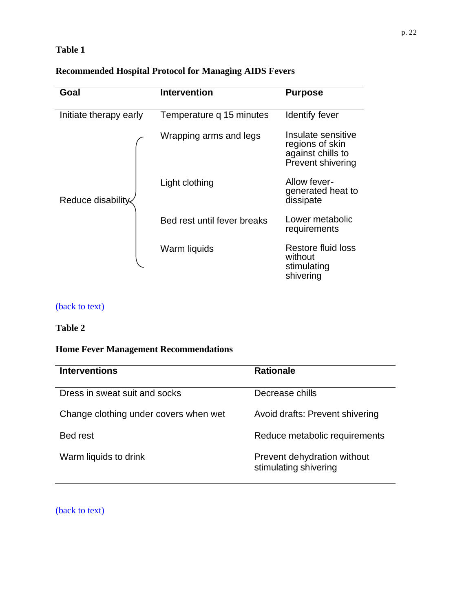# <span id="page-21-0"></span>**Table 1**

# **Recommended Hospital Protocol for Managing AIDS Fevers**

| Goal                   | <b>Intervention</b>         | <b>Purpose</b>                                                                  |
|------------------------|-----------------------------|---------------------------------------------------------------------------------|
| Initiate therapy early | Temperature q 15 minutes    | Identify fever                                                                  |
| Reduce disability      | Wrapping arms and legs      | Insulate sensitive<br>regions of skin<br>against chills to<br>Prevent shivering |
|                        | Light clothing              | Allow fever-<br>generated heat to<br>dissipate                                  |
|                        | Bed rest until fever breaks | Lower metabolic<br>requirements                                                 |
|                        | Warm liquids                | Restore fluid loss<br>without<br>stimulating<br>shivering                       |

# [\(back to text\)](#page-4-0)

## **Table 2**

## **Home Fever Management Recommendations**

| <b>Interventions</b>                  | <b>Rationale</b>                                     |
|---------------------------------------|------------------------------------------------------|
| Dress in sweat suit and socks         | Decrease chills                                      |
| Change clothing under covers when wet | Avoid drafts: Prevent shivering                      |
| Bed rest                              | Reduce metabolic requirements                        |
| Warm liquids to drink                 | Prevent dehydration without<br>stimulating shivering |

[\(back to text\)](#page-5-0)